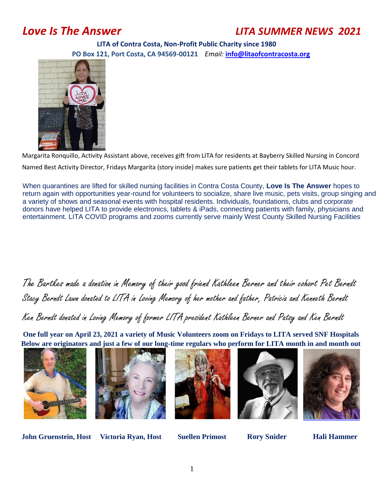# *Love Is The Answer LITA SUMMER NEWS 2021*

 **LITA of Contra Costa, Non-Profit Public Charity since 1980 PO Box 121, Port Costa, CA 94569-00121** *Email:* **info@litaofcontracosta.org**



Margarita Ronquillo, Activity Assistant above, receives gift from LITA for residents at Bayberry Skilled Nursing in Concord Named Best Activity Director, Fridays Margarita (story inside) makes sure patients get their tablets for LITA Music hour.

When quarantines are lifted for skilled nursing facilities in Contra Costa County, **Love Is The Answer** hopes to return again with opportunities year-round for volunteers to socialize, share live music, pets visits, group singing and a variety of shows and seasonal events with hospital residents. Individuals, foundations, clubs and corporate donors have helped LITA to provide electronics, tablets & iPads, connecting patients with family, physicians and entertainment. LITA COVID programs and zooms currently serve mainly West County Skilled Nursing Facilities

The Bartkes made a donation in Memory of their good friend Kathleen Berner and their cohort Pet Berndt Stacy Berndt Lawn donated to LITA in Loving Memory of her mother and father, Patricia and Kenneth Berndt

Ken Berndt donated in Loving Memory of former LITA president Kathleen Berner and Patsy and Ken Berndt

**One full year on April 23, 2021 a variety of Music Volunteers zoom on Fridays to LITA served SNF Hospitals Below are originators and just a few of our long-time regulars who perform for LITA month in and month out** 











**John Gruenstein, Host Victoria Ryan, Host Suellen Primost Rory Snider Hali Hammer**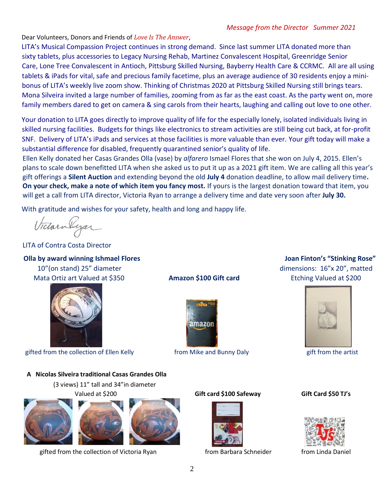## *Message from the Director Summer 2021*

Dear Volunteers, Donors and Friends of *Love Is The Answer*,

LITA's Musical Compassion Project continues in strong demand. Since last summer LITA donated more than sixty tablets, plus accessories to Legacy Nursing Rehab, Martinez Convalescent Hospital, Greenridge Senior Care, Lone Tree Convalescent in Antioch, Pittsburg Skilled Nursing, Bayberry Health Care & CCRMC. All are all using tablets & iPads for vital, safe and precious family facetime, plus an average audience of 30 residents enjoy a minibonus of LITA's weekly live zoom show. Thinking of Christmas 2020 at Pittsburg Skilled Nursing still brings tears. Mona Silveira invited a large number of families, zooming from as far as the east coast. As the party went on, more family members dared to get on camera & sing carols from their hearts, laughing and calling out love to one other.

Your donation to LITA goes directly to improve quality of life for the especially lonely, isolated individuals living in skilled nursing facilities. Budgets for things like electronics to stream activities are still being cut back, at for-profit SNF. Delivery of LITA's iPads and services at those facilities is more valuable than ever. Your gift today will make a substantial difference for disabled, frequently quarantined senior's quality of life.

Ellen Kelly donated her Casas Grandes Olla (vase) by *alfarero* Ismael Flores that she won on July 4, 2015. Ellen's plans to scale down benefitted LITA when she asked us to put it up as a 2021 gift item. We are calling all this year's gift offerings a **Silent Auction** and extending beyond the old **July 4** donation deadline, to allow mail delivery time**. On your check, make a note of which item you fancy most.** If yours is the largest donation toward that item, you will get a call from LITA director, Victoria Ryan to arrange a delivery time and date very soon after **July 30.** 

With gratitude and wishes for your safety, health and long and happy life.

Victorialyan

LITA of Contra Costa Director

**Olla by award winning Ishmael Flores Joan Finton's "Stinking Rose"**  10"(on stand) 25" diameter dimensions: 16"x 20", matted



gifted from the collection of Ellen Kelly **the collection of the Kelly** from Mike and Bunny Daly gift from the artist

## **A Nicolas Silveira traditional Casas Grandes Olla**

(3 views) 11" tall and 34"in diameter





gifted from the collection of Victoria Ryan from Barbara Schneider from Linda Daniel







## Valued at \$200 **Gift card \$100 Safeway Gift Card \$50 TJ's**



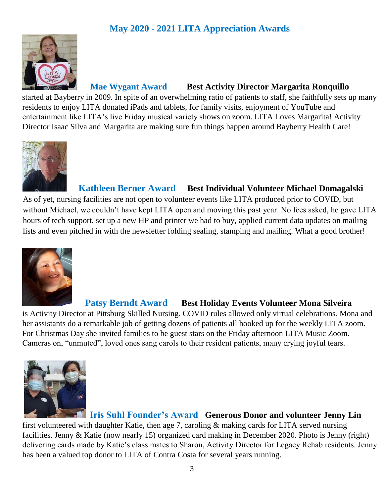# **May 2020 - 2021 LITA Appreciation Awards**



 **Mae Wygant Award Best Activity Director Margarita Ronquillo**

started at Bayberry in 2009. In spite of an overwhelming ratio of patients to staff, she faithfully sets up many residents to enjoy LITA donated iPads and tablets, for family visits, enjoyment of YouTube and entertainment like LITA's live Friday musical variety shows on zoom. LITA Loves Margarita! Activity Director Isaac Silva and Margarita are making sure fun things happen around Bayberry Health Care!



# **Kathleen Berner Award Best Individual Volunteer Michael Domagalski**

As of yet, nursing facilities are not open to volunteer events like LITA produced prior to COVID, but without Michael, we couldn't have kept LITA open and moving this past year. No fees asked, he gave LITA hours of tech support, set up a new HP and printer we had to buy, applied current data updates on mailing lists and even pitched in with the newsletter folding sealing, stamping and mailing. What a good brother!



 **Patsy Berndt Award Best Holiday Events Volunteer Mona Silveira** 

is Activity Director at Pittsburg Skilled Nursing. COVID rules allowed only virtual celebrations. Mona and her assistants do a remarkable job of getting dozens of patients all hooked up for the weekly LITA zoom. For Christmas Day she invited families to be guest stars on the Friday afternoon LITA Music Zoom. Cameras on, "unmuted", loved ones sang carols to their resident patients, many crying joyful tears.



# **Iris Suhl Founder's Award Generous Donor and volunteer Jenny Lin**

first volunteered with daughter Katie, then age 7, caroling & making cards for LITA served nursing facilities. Jenny & Katie (now nearly 15) organized card making in December 2020. Photo is Jenny (right) delivering cards made by Katie's class mates to Sharon, Activity Director for Legacy Rehab residents. Jenny has been a valued top donor to LITA of Contra Costa for several years running.